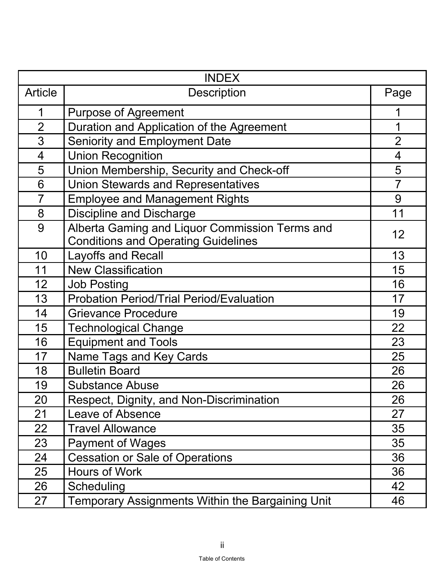| <b>INDEX</b>   |                                                                                              |                |
|----------------|----------------------------------------------------------------------------------------------|----------------|
| <b>Article</b> | <b>Description</b>                                                                           | Page           |
| 1              | <b>Purpose of Agreement</b>                                                                  |                |
| $\overline{2}$ | Duration and Application of the Agreement                                                    |                |
| 3              | <b>Seniority and Employment Date</b>                                                         | $\overline{2}$ |
| $\overline{4}$ | <b>Union Recognition</b>                                                                     | $\overline{4}$ |
| 5              | Union Membership, Security and Check-off                                                     | 5              |
| 6              | <b>Union Stewards and Representatives</b>                                                    | $\overline{7}$ |
| $\overline{7}$ | <b>Employee and Management Rights</b>                                                        | 9              |
| 8              | <b>Discipline and Discharge</b>                                                              | 11             |
| 9              | Alberta Gaming and Liquor Commission Terms and<br><b>Conditions and Operating Guidelines</b> | 12             |
| 10             | <b>Layoffs and Recall</b>                                                                    | 13             |
| 11             | <b>New Classification</b>                                                                    | 15             |
| 12             | <b>Job Posting</b>                                                                           | 16             |
| 13             | <b>Probation Period/Trial Period/Evaluation</b>                                              | 17             |
| 14             | <b>Grievance Procedure</b>                                                                   | 19             |
| 15             | <b>Technological Change</b>                                                                  | 22             |
| 16             | <b>Equipment and Tools</b>                                                                   | 23             |
| 17             | Name Tags and Key Cards                                                                      | 25             |
| 18             | <b>Bulletin Board</b>                                                                        | 26             |
| 19             | <b>Substance Abuse</b>                                                                       | 26             |
| 20             | Respect, Dignity, and Non-Discrimination                                                     | 26             |
| 21             | <b>Leave of Absence</b>                                                                      | 27             |
| 22             | <b>Travel Allowance</b>                                                                      | 35             |
| 23             | <b>Payment of Wages</b>                                                                      | 35             |
| 24             | <b>Cessation or Sale of Operations</b>                                                       | 36             |
| 25             | <b>Hours of Work</b>                                                                         | 36             |
| 26             | Scheduling                                                                                   | 42             |
| 27             | <b>Temporary Assignments Within the Bargaining Unit</b>                                      | 46             |